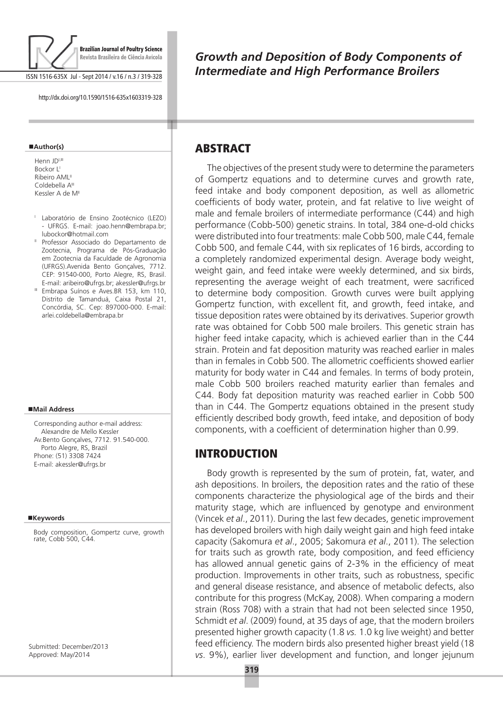

ISSN 1516-635X Jul - Sept 2014 / v.16 / n.3 / 319-328

http://dx.doi.org/10.1590/1516-635x1603319-328

#### **Author(s)**

Henn JDI,II Bockor LI Ribeiro AML<sup>II</sup> Coldebella A<sup>III</sup> Kessler A de MII

- <sup>I</sup> Laboratório de Ensino Zootécnico (LEZO) - UFRGS. E-mail: joao.henn@embrapa.br; lubockor@hotmail.com
- II Professor Associado do Departamento de Zootecnia, Programa de Pós-Graduação em Zootecnia da Faculdade de Agronomia (UFRGS).Avenida Bento Gonçalves, 7712. CEP: 91540-000, Porto Alegre, RS, Brasil. E-mail: aribeiro@ufrgs.br; akessler@ufrgs.br
- <sup>III</sup> Embrapa Suínos e Aves.BR 153, km 110, Distrito de Tamanduá, Caixa Postal 21, Concórdia, SC. Cep: 897000-000. E-mail: arlei.coldebella@embrapa.br

#### **Mail Address**

Corresponding author e-mail address: Alexandre de Mello Kessler Av.Bento Gonçalves, 7712. 91.540-000. Porto Alegre, RS, Brazil Phone: (51) 3308 7424 E-mail: akessler@ufrgs.br

#### **Keywords**

Body composition, Gompertz curve, growth rate, Cobb 500, C44.

Submitted: December/2013 Approved: May/2014

*Growth and Deposition of Body Components of Intermediate and High Performance Broilers*

## ABSTRACT

т

The objectives of the present study were to determine the parameters of Gompertz equations and to determine curves and growth rate, feed intake and body component deposition, as well as allometric coefficients of body water, protein, and fat relative to live weight of male and female broilers of intermediate performance (C44) and high performance (Cobb-500) genetic strains. In total, 384 one-d-old chicks were distributed into four treatments: male Cobb 500, male C44, female Cobb 500, and female C44, with six replicates of 16 birds, according to a completely randomized experimental design. Average body weight, weight gain, and feed intake were weekly determined, and six birds, representing the average weight of each treatment, were sacrificed to determine body composition. Growth curves were built applying Gompertz function, with excellent fit, and growth, feed intake, and tissue deposition rates were obtained by its derivatives. Superior growth rate was obtained for Cobb 500 male broilers. This genetic strain has higher feed intake capacity, which is achieved earlier than in the C44 strain. Protein and fat deposition maturity was reached earlier in males than in females in Cobb 500. The allometric coefficients showed earlier maturity for body water in C44 and females. In terms of body protein, male Cobb 500 broilers reached maturity earlier than females and C44. Body fat deposition maturity was reached earlier in Cobb 500 than in C44. The Gompertz equations obtained in the present study efficiently described body growth, feed intake, and deposition of body components, with a coefficient of determination higher than 0.99.

### **INTRODUCTION**

Body growth is represented by the sum of protein, fat, water, and ash depositions. In broilers, the deposition rates and the ratio of these components characterize the physiological age of the birds and their maturity stage, which are influenced by genotype and environment (Vincek *et al*., 2011). During the last few decades, genetic improvement has developed broilers with high daily weight gain and high feed intake capacity (Sakomura *et al*., 2005; Sakomura *et al*., 2011). The selection for traits such as growth rate, body composition, and feed efficiency has allowed annual genetic gains of 2-3% in the efficiency of meat production. Improvements in other traits, such as robustness, specific and general disease resistance, and absence of metabolic defects, also contribute for this progress (McKay, 2008). When comparing a modern strain (Ross 708) with a strain that had not been selected since 1950, Schmidt *et al*. (2009) found, at 35 days of age, that the modern broilers presented higher growth capacity (1.8 *vs.* 1.0 kg live weight) and better feed efficiency. The modern birds also presented higher breast yield (18 *vs*. 9%), earlier liver development and function, and longer jejunum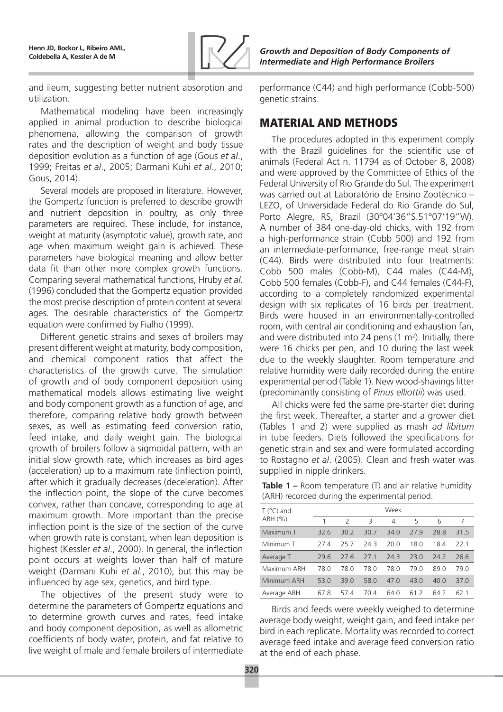

and ileum, suggesting better nutrient absorption and utilization.

Mathematical modeling have been increasingly applied in animal production to describe biological phenomena, allowing the comparison of growth rates and the description of weight and body tissue deposition evolution as a function of age (Gous *et al*., 1999; Freitas *et al*., 2005; Darmani Kuhi *et al*., 2010; Gous, 2014).

Several models are proposed in literature. However, the Gompertz function is preferred to describe growth and nutrient deposition in poultry, as only three parameters are required. These include, for instance, weight at maturity (asymptotic value), growth rate, and age when maximum weight gain is achieved. These parameters have biological meaning and allow better data fit than other more complex growth functions. Comparing several mathematical functions, Hruby *et al*. (1996) concluded that the Gompertz equation provided the most precise description of protein content at several ages. The desirable characteristics of the Gompertz equation were confirmed by Fialho (1999).

Different genetic strains and sexes of broilers may present different weight at maturity, body composition, and chemical component ratios that affect the characteristics of the growth curve. The simulation of growth and of body component deposition using mathematical models allows estimating live weight and body component growth as a function of age, and therefore, comparing relative body growth between sexes, as well as estimating feed conversion ratio, feed intake, and daily weight gain. The biological growth of broilers follow a sigmoidal pattern, with an initial slow growth rate, which increases as bird ages (acceleration) up to a maximum rate (inflection point), after which it gradually decreases (deceleration). After the inflection point, the slope of the curve becomes convex, rather than concave, corresponding to age at maximum growth. More important than the precise inflection point is the size of the section of the curve when growth rate is constant, when lean deposition is highest (Kessler *et al*., 2000). In general, the inflection point occurs at weights lower than half of mature weight (Darmani Kuhi *et al*., 2010), but this may be influenced by age sex, genetics, and bird type.

The objectives of the present study were to determine the parameters of Gompertz equations and to determine growth curves and rates, feed intake and body component deposition, as well as allometric coefficients of body water, protein, and fat relative to live weight of male and female broilers of intermediate

performance (C44) and high performance (Cobb-500) genetic strains.

# Material and methods

The procedures adopted in this experiment comply with the Brazil guidelines for the scientific use of animals (Federal Act n. 11794 as of October 8, 2008) and were approved by the Committee of Ethics of the Federal University of Rio Grande do Sul. The experiment was carried out at Laboratório de Ensino Zootécnico – LEZO, of Universidade Federal do Rio Grande do Sul, Porto Alegre, RS, Brazil (30°04'36"S.51°07'19"W). A number of 384 one-day-old chicks, with 192 from a high-performance strain (Cobb 500) and 192 from an intermediate-performance, free-range meat strain (C44). Birds were distributed into four treatments: Cobb 500 males (Cobb-M), C44 males (C44-M), Cobb 500 females (Cobb-F), and C44 females (C44-F), according to a completely randomized experimental design with six replicates of 16 birds per treatment. Birds were housed in an environmentally-controlled room, with central air conditioning and exhaustion fan, and were distributed into 24 pens  $(1 \text{ m}^2)$ . Initially, there were 16 chicks per pen, and 10 during the last week due to the weekly slaughter. Room temperature and relative humidity were daily recorded during the entire experimental period (Table 1). New wood-shavings litter (predominantly consisting of *Pinus elliottii*) was used.

All chicks were fed the same pre-starter diet during the first week. Thereafter, a starter and a grower diet (Tables 1 and 2) were supplied as mash *ad libitum* in tube feeders. Diets followed the specifications for genetic strain and sex and were formulated according to Rostagno *et al*. (2005). Clean and fresh water was supplied in nipple drinkers.

| <b>Table 1 –</b> Room temperature $(T)$ and air relative humidity |
|-------------------------------------------------------------------|
| (ARH) recorded during the experimental period.                    |

| $T (^{\circ}C)$ and |      |      |      | Week |      |      |      |
|---------------------|------|------|------|------|------|------|------|
| ARH (%)             |      | 2    | 3    | 4    | 5    | 6    |      |
| Maximum T           | 32.6 | 30.2 | 30.7 | 34.0 | 27.9 | 28.8 | 31.5 |
| Minimum T           | 27.4 | 25.7 | 24.3 | 20.0 | 18.0 | 18.4 | 22.1 |
| Average T           | 29.6 | 27.6 | 27.1 | 24.3 | 23.0 | 24.2 | 26.6 |
| Maximum ARH         | 78.0 | 78.0 | 78.0 | 78.0 | 79.0 | 89.0 | 79.0 |
| Minimum ARH         | 53.0 | 39.0 | 58.0 | 47.0 | 43.0 | 40.0 | 37.0 |
| Average ARH         | 67.8 | 574  | 70.4 | 64.0 | 61 2 | 64.2 | 62.1 |

Birds and feeds were weekly weighed to determine average body weight, weight gain, and feed intake per bird in each replicate. Mortality was recorded to correct average feed intake and average feed conversion ratio at the end of each phase.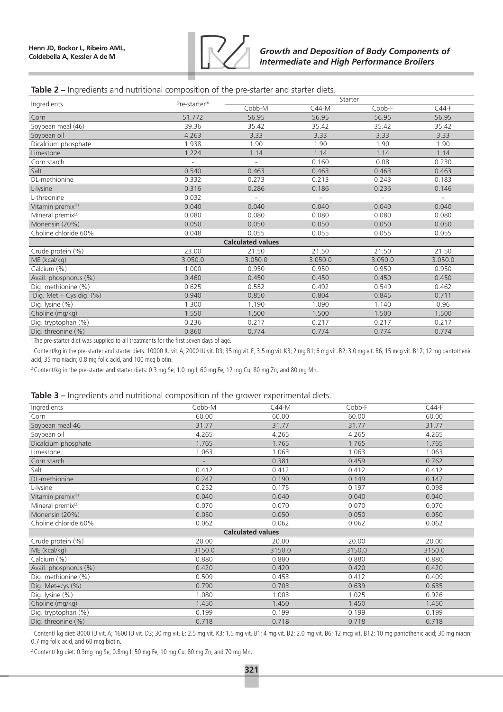

### **Table 2 –** Ingredients and nutritional composition of the pre-starter and starter diets.

|                               | Pre-starter* | Starter                  |                          |         |                          |  |  |  |
|-------------------------------|--------------|--------------------------|--------------------------|---------|--------------------------|--|--|--|
| Ingredients                   |              | Cobb-M                   | $C44-M$                  | Cobb-F  | $C44-F$                  |  |  |  |
| Corn                          | 51.772       | 56.95                    | 56.95                    | 56.95   | 56.95                    |  |  |  |
| Soybean meal (46)             | 39.36        | 35.42                    | 35.42                    | 35.42   | 35.42                    |  |  |  |
| Soybean oil                   | 4.263        | 3.33                     | 3.33                     | 3.33    | 3.33                     |  |  |  |
| Dicalcium phosphate           | 1.938        | 1.90                     | 1.90                     | 1.90    | 1.90                     |  |  |  |
| Limestone                     | 1.224        | 1.14                     | 1.14                     | 1.14    | 1.14                     |  |  |  |
| Corn starch                   |              | $\overline{\phantom{a}}$ | 0.160                    | 0.08    | 0.230                    |  |  |  |
| Salt                          | 0.540        | 0.463                    | 0.463                    | 0.463   | 0.463                    |  |  |  |
| DL-methionine                 | 0.332        | 0.273                    | 0.213                    | 0.243   | 0.183                    |  |  |  |
| L-lysine                      | 0.316        | 0.286                    | 0.186                    | 0.236   | 0.146                    |  |  |  |
| L-threonine                   | 0.032        | $\sim$                   | $\overline{\phantom{a}}$ |         | $\overline{\phantom{a}}$ |  |  |  |
| Vitamin premix <sup>(1)</sup> | 0.040        | 0.040                    | 0.040                    | 0.040   | 0.040                    |  |  |  |
| Mineral premix <sup>(2)</sup> | 0.080        | 0.080                    | 0.080                    | 0.080   | 0.080                    |  |  |  |
| Monensin (20%)                | 0.050        | 0.050                    | 0.050                    | 0.050   | 0.050                    |  |  |  |
| Choline chloride 60%          | 0.048        | 0.055                    | 0.055                    | 0.055   | 0.055                    |  |  |  |
| <b>Calculated values</b>      |              |                          |                          |         |                          |  |  |  |
| Crude protein (%)             | 23.00        | 21.50                    | 21.50                    | 21.50   | 21.50                    |  |  |  |
| ME (kcal/kg)                  | 3.050.0      | 3.050.0                  | 3.050.0                  | 3.050.0 | 3.050.0                  |  |  |  |
| Calcium (%)                   | 1.000        | 0.950                    | 0.950                    | 0.950   | 0.950                    |  |  |  |
| Avail. phosphorus (%)         | 0.460        | 0.450                    | 0.450                    | 0.450   | 0.450                    |  |  |  |
| Dig. methionine (%)           | 0.625        | 0.552                    | 0.492                    | 0.549   | 0.462                    |  |  |  |
| Dig. Met $+$ Cys dig. (%)     | 0.940        | 0.850                    | 0.804                    | 0.845   | 0.711                    |  |  |  |
| Dig. lysine (%)               | 1.300        | 1.190                    | 1.090                    | 1.140   | 0.96                     |  |  |  |
| Choline (mg/kg)               | 1.550        | 1.500                    | 1.500                    | 1.500   | 1.500                    |  |  |  |
| Dig. tryptophan (%)           | 0.236        | 0.217                    | 0.217                    | 0.217   | 0.217                    |  |  |  |
| Dig. threonine (%)            | 0.860        | 0.774                    | 0.774                    | 0.774   | 0.774                    |  |  |  |

\* The pre-starter diet was supplied to all treatments for the first seven days of age.

1 Content/kg in the pre-starter and starter diets: 10000 IU vit. A; 2000 IU vit. D3; 35 mg vit. E; 3.5 mg vit. K3; 2 mg B1; 6 mg vit. B2; 3.0 mg vit. B6; 15 mcg vit. B12; 12 mg pantothenic acid; 35 mg niacin; 0.8 mg folic acid, and 100 mcg biotin.

<sup>2</sup> Content/kg in the pre-starter and starter diets: 0.3 mg Se; 1.0 mg I; 60 mg Fe; 12 mg Cu; 80 mg Zn, and 80 mg Mn.

#### **Table 3 –** Ingredients and nutritional composition of the grower experimental diets.

| Ingredients                   | Cobb-M | $C44-M$ | Cobb-F | $C44-F$ |  |  |  |  |  |
|-------------------------------|--------|---------|--------|---------|--|--|--|--|--|
| Corn                          | 60.00  | 60.00   | 60.00  | 60.00   |  |  |  |  |  |
| Soybean meal 46               | 31.77  | 31.77   | 31.77  | 31.77   |  |  |  |  |  |
| Soybean oil                   | 4.265  | 4.265   | 4.265  | 4.265   |  |  |  |  |  |
| Dicalcium phosphate           | 1.765  | 1.765   | 1.765  | 1.765   |  |  |  |  |  |
| Limestone                     | 1.063  | 1.063   | 1.063  | 1.063   |  |  |  |  |  |
| Corn starch                   |        | 0.381   | 0.459  | 0.762   |  |  |  |  |  |
| Salt                          | 0.412  | 0.412   | 0.412  | 0.412   |  |  |  |  |  |
| DL-methionine                 | 0.247  | 0.190   | 0.149  | 0.147   |  |  |  |  |  |
| L-lysine                      | 0.252  | 0.175   | 0.197  | 0.098   |  |  |  |  |  |
| Vitamin premix <sup>(1)</sup> | 0.040  | 0.040   | 0.040  | 0.040   |  |  |  |  |  |
| Mineral premix <sup>(2)</sup> | 0.070  | 0.070   | 0.070  | 0.070   |  |  |  |  |  |
| Monensin (20%)                | 0.050  | 0.050   | 0.050  | 0.050   |  |  |  |  |  |
| Choline chloride 60%          | 0.062  | 0.062   | 0.062  | 0.062   |  |  |  |  |  |
| <b>Calculated values</b>      |        |         |        |         |  |  |  |  |  |
| Crude protein (%)             | 20.00  | 20.00   | 20.00  | 20.00   |  |  |  |  |  |
| ME (kcal/kg)                  | 3150.0 | 3150.0  | 3150.0 | 3150.0  |  |  |  |  |  |
| Calcium (%)                   | 0.880  | 0.880   | 0.880  | 0.880   |  |  |  |  |  |
| Avail. phosphorus (%)         | 0.420  | 0.420   | 0.420  | 0.420   |  |  |  |  |  |
| Dig. methionine (%)           | 0.509  | 0.453   | 0.412  | 0.409   |  |  |  |  |  |
| Dig. Met+cys (%)              | 0.790  | 0.703   | 0.639  | 0.635   |  |  |  |  |  |
| Dig. lysine (%)               | 1.080  | 1.003   | 1.025  | 0.926   |  |  |  |  |  |
| Choline (mg/kg)               | 1.450  | 1.450   | 1.450  | 1.450   |  |  |  |  |  |
| Dig. tryptophan (%)           | 0.199  | 0.199   | 0.199  | 0.199   |  |  |  |  |  |
| Dig. threonine (%)            | 0.718  | 0.718   | 0.718  | 0.718   |  |  |  |  |  |

1 Content/ kg diet: 8000 IU vit. A; 1600 IU vit. D3; 30 mg vit. E; 2.5 mg vit. K3; 1.5 mg vit. B1; 4 mg vit. B2; 2.0 mg vit. B6; 12 mcg vit. B12; 10 mg pantothenic acid; 30 mg niacin; 0.7 mg folic acid, and 60 mcg biotin.

2 Content/ kg diet: 0.3mg mg Se; 0.8mg I; 50 mg Fe; 10 mg Cu; 80 mg Zn, and 70 mg Mn.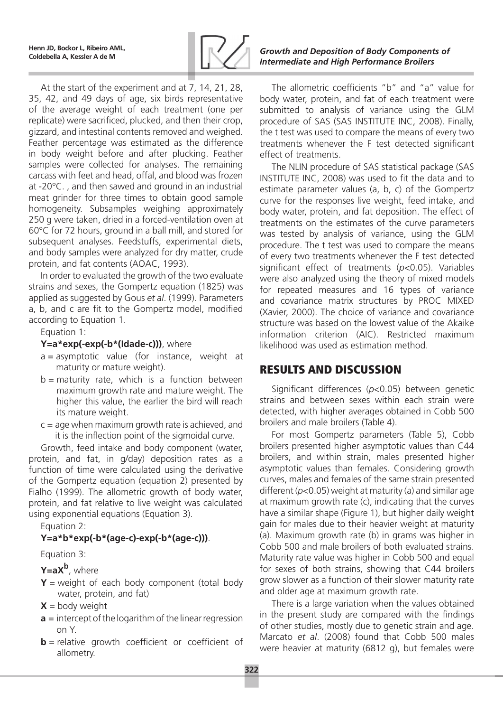

At the start of the experiment and at 7, 14, 21, 28, 35, 42, and 49 days of age, six birds representative of the average weight of each treatment (one per replicate) were sacrificed, plucked, and then their crop, gizzard, and intestinal contents removed and weighed. Feather percentage was estimated as the difference in body weight before and after plucking. Feather samples were collected for analyses. The remaining carcass with feet and head, offal, and blood was frozen at -20°C. , and then sawed and ground in an industrial meat grinder for three times to obtain good sample homogeneity. Subsamples weighing approximately 250 g were taken, dried in a forced-ventilation oven at 60°C for 72 hours, ground in a ball mill, and stored for subsequent analyses. Feedstuffs, experimental diets, and body samples were analyzed for dry matter, crude protein, and fat contents (AOAC, 1993).

In order to evaluated the growth of the two evaluate strains and sexes, the Gompertz equation (1825) was applied as suggested by Gous *et al*. (1999). Parameters a, b, and c are fit to the Gompertz model, modified according to Equation 1.

Equation 1:

### Y=a\*exp(-exp(-b\*(Idade-c))), where

- $a =$  asymptotic value (for instance, weight at maturity or mature weight).
- $b =$  maturity rate, which is a function between maximum growth rate and mature weight. The higher this value, the earlier the bird will reach its mature weight.
- $c = a$ ge when maximum growth rate is achieved, and it is the inflection point of the sigmoidal curve.

Growth, feed intake and body component (water, protein, and fat, in g/day) deposition rates as a function of time were calculated using the derivative of the Gompertz equation (equation 2) presented by Fialho (1999). The allometric growth of body water, protein, and fat relative to live weight was calculated using exponential equations (Equation 3).

Equation 2:

### **Y=a\*b\*exp(-b\*(age-c)-exp(-b\*(age-c)))**.

Equation 3:

**Y=aX<sup>b</sup>**, where

- $Y$  = weight of each body component (total body water, protein, and fat)
- $X =$  body weight
- **a** = intercept of the logarithm of the linear regression on Y.
- **b** = relative growth coefficient or coefficient of allometry.

### **Coldebella A, Kessler A de M** *Growth and Deposition of Body Components of Intermediate and High Performance Broilers*

The allometric coefficients "b" and "a" value for body water, protein, and fat of each treatment were submitted to analysis of variance using the GLM procedure of SAS (SAS INSTITUTE INC, 2008). Finally, the t test was used to compare the means of every two treatments whenever the F test detected significant effect of treatments.

The NLIN procedure of SAS statistical package (SAS INSTITUTE INC, 2008) was used to fit the data and to estimate parameter values (a, b, c) of the Gompertz curve for the responses live weight, feed intake, and body water, protein, and fat deposition. The effect of treatments on the estimates of the curve parameters was tested by analysis of variance, using the GLM procedure. The t test was used to compare the means of every two treatments whenever the F test detected significant effect of treatments (*p*<0.05). Variables were also analyzed using the theory of mixed models for repeated measures and 16 types of variance and covariance matrix structures by PROC MIXED (Xavier, 2000). The choice of variance and covariance structure was based on the lowest value of the Akaike information criterion (AIC). Restricted maximum likelihood was used as estimation method.

## Results and Discussion

Significant differences (*p*<0.05) between genetic strains and between sexes within each strain were detected, with higher averages obtained in Cobb 500 broilers and male broilers (Table 4).

For most Gompertz parameters (Table 5), Cobb broilers presented higher asymptotic values than C44 broilers, and within strain, males presented higher asymptotic values than females. Considering growth curves, males and females of the same strain presented different (*p*<0.05) weight at maturity (a) and similar age at maximum growth rate (c), indicating that the curves have a similar shape (Figure 1), but higher daily weight gain for males due to their heavier weight at maturity (a). Maximum growth rate (b) in grams was higher in Cobb 500 and male broilers of both evaluated strains. Maturity rate value was higher in Cobb 500 and equal for sexes of both strains, showing that C44 broilers grow slower as a function of their slower maturity rate and older age at maximum growth rate.

There is a large variation when the values obtained in the present study are compared with the findings of other studies, mostly due to genetic strain and age. Marcato *et al*. (2008) found that Cobb 500 males were heavier at maturity (6812 g), but females were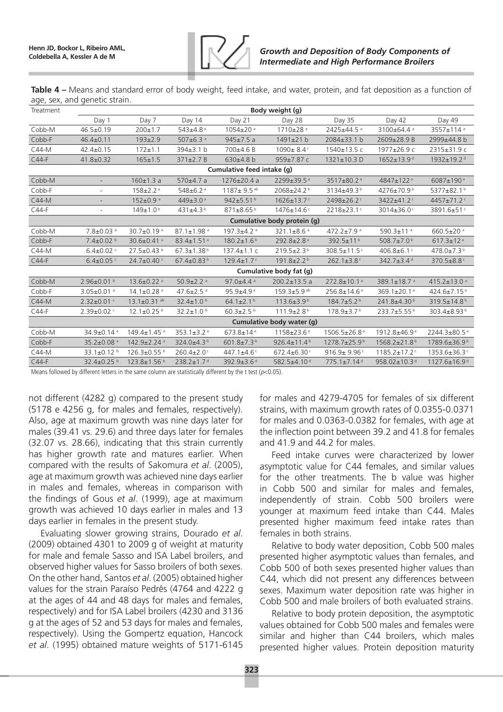

**Table 4 –** Means and standard error of body weight, feed intake, and water, protein, and fat deposition as a function of age, sex, and genetic strain.

| Treatment | Body weight (g)              |                               |                              |                              |                               |                               |                                |                                |
|-----------|------------------------------|-------------------------------|------------------------------|------------------------------|-------------------------------|-------------------------------|--------------------------------|--------------------------------|
|           | Day 1                        | Day 7                         | Day 14                       | Day 21                       | Day 28                        | Day 35                        | Day 42                         | Day 49                         |
| Cobb-M    | $46.5 \pm 0.19$              | $200 \pm 1.7$                 | $543 \pm 4.8$ <sup>a</sup>   | $1054 \pm 20$ <sup>a</sup>   | $1710 \pm 28$ <sup>a</sup>    | 2425±44.5 <sup>a</sup>        | 3100±64.4 <sup>a</sup>         | 3557±114 <sup>a</sup>          |
| Cobb-F    | $46.4 \pm 0.11$              | $193 \pm 2.9$                 | 507 $\pm$ 6.3 $a$            | $945 \pm 7.5$ a              | 1491±21 b                     | 2084±33.1 b                   | 2609±28.9 B                    | 2999±44.8 b                    |
| C44-M     | $42.4 \pm 0.15$              | $172 \pm 1.1$                 | $394 \pm 3.1$ b              | 700±4.6 B                    | 1090±8.4c                     | 1540±13.5 c                   | 1977±26.9 c                    | 2315±31.9 c                    |
| $C44-F$   | $41.8 \pm 0.32$              | $165 \pm 1.5$                 | $371 \pm 2.7 B$              | 630±4.8 b                    | 959±7.87 c                    | 1321±10.3 D                   | $1652 \pm 13.9$ <sup>d</sup>   | 1932±19.2 <sup>d</sup>         |
|           |                              |                               |                              | Cumulative feed intake (g)   |                               |                               |                                |                                |
| Cobb-M    | $\overline{\phantom{a}}$     | $160 \pm 1.3$ a               | 570±4.7a                     | $1276 \pm 20.4$ a            | 2299±39.5 <sup>a</sup>        | 3517±80.2 <sup>a</sup>        | 4847±122 <sup>a</sup>          | 6087±190 <sup>a</sup>          |
| Cobb-F    | $\sim$                       | $158 \pm 2.2$ <sup>a</sup>    | $548 \pm 6.2$ <sup>a</sup>   | $1187 \pm 9.5$ <sup>ab</sup> | 2068±24.2 <sup>b</sup>        | 3134±49.3 <sup>b</sup>        | 4276±70.9 <sup>b</sup>         | 5377±82.1 <sup>b</sup>         |
| $C44-M$   | $\overline{\phantom{a}}$     | $152 \pm 0.9$ <sup>a</sup>    | $449 \pm 3.0$ <sup>a</sup>   | 942±5.51 $b$                 | $1626 \pm 13.7$ <sup>c</sup>  | 2498±26.2 <sup>c</sup>        | 3422±41.2 <sup>c</sup>         | 4457±71.2 $c$                  |
| $C44-F$   | $\overline{\phantom{a}}$     | $149 \pm 1.0^{\text{b}}$      | 431 $\pm$ 4.3 <sup>b</sup>   | $871 \pm 8.65^{\text{b}}$    | 1476±14.6 <sup>c</sup>        | 2218±23.1 <sup>c</sup>        | 3014±36.0 $C$                  | 3891.6±51 <sup>c</sup>         |
|           | Cumulative body protein (g)  |                               |                              |                              |                               |                               |                                |                                |
| Cobb-M    | $7.8 \pm 0.03$ <sup>a</sup>  | 30.7 $\pm$ 0.19 $a$           | $87.1 \pm 1.98$ <sup>a</sup> | $197.3 + 4.2$ <sup>a</sup>   | 321.1 $\pm$ 8.6 $a$           | 472.2±7.9 $a$                 | 590.3 $\pm$ 11 <sup>a</sup>    | $660.5 \pm 20$ <sup>a</sup>    |
| Cobb-F    | $7.4\pm0.02$ b               | 30.6 $\pm$ 0.41 $a$           | $83.4 \pm 1.51$ <sup>a</sup> | $180.2 \pm 1.6^{\text{b}}$   | 292.8±2.8 <sup>a</sup>        | 392.5±11 <sup>b</sup>         | 508.7 $\pm$ 7.0 <sup>b</sup>   | $617.3 \pm 12$ <sup>a</sup>    |
| C44-M     | $6.4 \pm 0.02$ <sup>c</sup>  | 27.5±0.43 b                   | $67.3 \pm 1.38$ <sup>b</sup> | $137.4 \pm 1.1$ C            | $219.5 \pm 2.3^{\circ}$       | 308.5±11.5c                   | 406.8±6.1 <sup>c</sup>         | 478.0±7.3 <sup>b</sup>         |
| $C44-F$   | $6.4\pm0.05$ <sup>c</sup>    | $24.7 \pm 0.40$ $c$           | $67.4\pm0.83^{b}$            | $129.4 \pm 1.7$ <sup>c</sup> | $191.8 \pm 2.2$ <sup>b</sup>  | $262.1 \pm 3.8$ <sup>c</sup>  | 342.7 $\pm$ 3.4 <sup>d</sup>   | 370.5±8.8 <sup>c</sup>         |
|           |                              |                               |                              |                              | Cumulative body fat (g)       |                               |                                |                                |
| Cobb-M    | $2.96\pm0.01^{b}$            | $13.6 \pm 0.22$ <sup>a</sup>  | $50.9 \pm 2.2$ <sup>a</sup>  | 97.0 $\pm$ 4.4 $\textdegree$ | $200.2 \pm 13.5$ a            | 272.8±10.1 <sup>a</sup>       | 389.1±18.7 $a$                 | 415.2 $\pm$ 13.0 $a$           |
| Cobb-F    | $3.05 \pm 0.01$ <sup>a</sup> | $14.1 \pm 0.28$ <sup>a</sup>  | 47.6 $\pm$ 2.5 $a$           | $95.9 + 4.9$ <sup>a</sup>    | $159.3 + 5.9$ <sup>ab</sup>   | 256.8±14.6 <sup>a</sup>       | 369.1±20.1 <sup>a</sup>        | 424.6±7.15 $a$                 |
| $C44-M$   | $2.32 \pm 0.01$ c            | $13.1 \pm 0.31$ <sup>ab</sup> | 32.4 $\pm$ 1.0 <sup>b</sup>  | 64.1 $\pm$ 2.1 <sup>b</sup>  | $113.6 \pm 3.9^b$             | $184.7 \pm 5.2$ <sup>b</sup>  | 241.8±4.30 <sup>b</sup>        | 319.5±14.8 <sup>b</sup>        |
| $C44-F$   | $2.39 \pm 0.02$ $C$          | $12.1 \pm 0.25$ b             | 32.2 $\pm$ 1.0 $^{\rm b}$    | $60.3 \pm 2.5$ b             | $111.9 \pm 2.8$ <sup>b</sup>  | $178.9 \pm 3.7^{\mathrm{b}}$  | $233.7 \pm 5.55^{\circ}$       | 303.4±8.93 <sup>b</sup>        |
|           |                              |                               |                              |                              | Cumulative body water (g)     |                               |                                |                                |
| Cobb-M    | $34.9 \pm 0.14$ <sup>a</sup> | $149.4 \pm 1.45$ <sup>a</sup> | 353.1 $\pm$ 3.2 <sup>a</sup> | $673.8 \pm 14$ <sup>a</sup>  | $1158 \pm 23.6^{\circ}$       | 1506.5±26.8 <sup>a</sup>      | 1912.8±46.9 <sup>a</sup>       | 2244.3±80.5 <sup>a</sup>       |
| Cobb-F    | 35.2±0.08 <sup>a</sup>       | 142.9±2.24 a                  | 324.0±4.3 <sup>b</sup>       | 601.8±7.3 <sup>b</sup>       | 926.4 $\pm$ 11.4 <sup>b</sup> | 1278.7±25.9 <sup>b</sup>      | 1568.2±21.8 <sup>b</sup>       | 1789.6±36.9 <sup>b</sup>       |
| $C44-M$   | 33.1 $\pm$ 0.12 $^{\rm b}$   | $126.3 \pm 0.55$              | $260.4 \pm 2.0$              | 447.1 $\pm$ 4.6 $\degree$    | $672.4 \pm 6.30$              | $916.9 + 9.96$                | $1185.2 \pm 17.2$              | $1353.6 \pm 36.3$              |
| $C44-F$   | $32.4\pm0.25$ <sup>b</sup>   | $123.8 \pm 1.56$ b            | $238.2 \pm 1.7$ <sup>d</sup> | 392.9 $\pm$ 3.6 <sup>d</sup> | 582.5±4.10 <sup>d</sup>       | $775.1 \pm 7.14$ <sup>d</sup> | 958.02 $\pm$ 10.3 <sup>d</sup> | $1127.6 \pm 16.9$ <sup>d</sup> |

Means followed by different letters in the same column are statistically different by the t test ( $p<0.05$ ).

not different (4282 g) compared to the present study (5178 e 4256 g, for males and females, respectively). Also, age at maximum growth was nine days later for males (39.41 vs. 29.6) and three days later for females (32.07 vs. 28.66), indicating that this strain currently has higher growth rate and matures earlier. When compared with the results of Sakomura *et al*. (2005), age at maximum growth was achieved nine days earlier in males and females, whereas in comparison with the findings of Gous *et al*. (1999), age at maximum growth was achieved 10 days earlier in males and 13 days earlier in females in the present study.

Evaluating slower growing strains, Dourado *et al*. (2009) obtained 4301 to 2009 g of weight at maturity for male and female Sasso and ISA Label broilers, and observed higher values for Sasso broilers of both sexes. On the other hand, Santos *et al*. (2005) obtained higher values for the strain Paraíso Pedrês (4764 and 4222 g at the ages of 44 and 48 days for males and females, respectively) and for ISA Label broilers (4230 and 3136 g at the ages of 52 and 53 days for males and females, respectively). Using the Gompertz equation, Hancock *et al*. (1995) obtained mature weights of 5171-6145

for males and 4279-4705 for females of six different strains, with maximum growth rates of 0.0355-0.0371 for males and 0.0363-0.0382 for females, with age at the inflection point between 39.2 and 41.8 for females and 41.9 and 44.2 for males.

Feed intake curves were characterized by lower asymptotic value for C44 females, and similar values for the other treatments. The b value was higher in Cobb 500 and similar for males and females, independently of strain. Cobb 500 broilers were younger at maximum feed intake than C44. Males presented higher maximum feed intake rates than females in both strains.

Relative to body water deposition, Cobb 500 males presented higher asymptotic values than females, and Cobb 500 of both sexes presented higher values than C44, which did not present any differences between sexes. Maximum water deposition rate was higher in Cobb 500 and male broilers of both evaluated strains.

Relative to body protein deposition, the asymptotic values obtained for Cobb 500 males and females were similar and higher than C44 broilers, which males presented higher values. Protein deposition maturity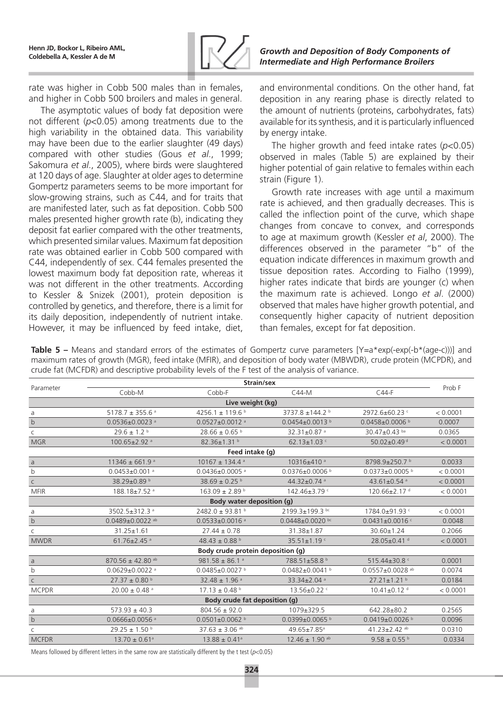

**Coldebella A, Kessler A de M** *Growth and Deposition of Body Components of Intermediate and High Performance Broilers*

rate was higher in Cobb 500 males than in females, and higher in Cobb 500 broilers and males in general.

The asymptotic values of body fat deposition were not different (*p*<0.05) among treatments due to the high variability in the obtained data. This variability may have been due to the earlier slaughter (49 days) compared with other studies (Gous *et al*., 1999; Sakomura *et al*., 2005), where birds were slaughtered at 120 days of age. Slaughter at older ages to determine Gompertz parameters seems to be more important for slow-growing strains, such as C44, and for traits that are manifested later, such as fat deposition. Cobb 500 males presented higher growth rate (b), indicating they deposit fat earlier compared with the other treatments, which presented similar values. Maximum fat deposition rate was obtained earlier in Cobb 500 compared with C44, independently of sex. C44 females presented the lowest maximum body fat deposition rate, whereas it was not different in the other treatments. According to Kessler & Snizek (2001), protein deposition is controlled by genetics, and therefore, there is a limit for its daily deposition, independently of nutrient intake. However, it may be influenced by feed intake, diet,

and environmental conditions. On the other hand, fat deposition in any rearing phase is directly related to the amount of nutrients (proteins, carbohydrates, fats) available for its synthesis, and it is particularly influenced by energy intake.

The higher growth and feed intake rates (*p*<0.05) observed in males (Table 5) are explained by their higher potential of gain relative to females within each strain (Figure 1).

Growth rate increases with age until a maximum rate is achieved, and then gradually decreases. This is called the inflection point of the curve, which shape changes from concave to convex, and corresponds to age at maximum growth (Kessler *et al*, 2000). The differences observed in the parameter "b" of the equation indicate differences in maximum growth and tissue deposition rates. According to Fialho (1999), higher rates indicate that birds are younger (c) when the maximum rate is achieved. Longo *et al*. (2000) observed that males have higher growth potential, and consequently higher capacity of nutrient deposition than females, except for fat deposition.

**Table 5 –** Means and standard errors of the estimates of Gompertz curve parameters  $[Y=a*exp(-exp(-b*(age-c)))]$  and maximum rates of growth (MGR), feed intake (MFIR), and deposition of body water (MBWDR), crude protein (MCPDR), and crude fat (MCFDR) and descriptive probability levels of the F test of the analysis of variance.

|                                   | Strain/sex                        |                                  |                                |                                  |          |  |  |  |  |  |
|-----------------------------------|-----------------------------------|----------------------------------|--------------------------------|----------------------------------|----------|--|--|--|--|--|
| Parameter                         | Cobb-M                            | Cobb-F                           | $C44-M$                        | $C44-F$                          | Prob F   |  |  |  |  |  |
|                                   | Live weight (kg)                  |                                  |                                |                                  |          |  |  |  |  |  |
| a                                 | 5178.7 ± 355.6 $a$                | 4256.1 ± 119.6 b                 | 3737.8 ±144.2 b                | 2972.6±60.23 c                   | < 0.0001 |  |  |  |  |  |
| $\mathbf b$                       | $0.0536 \pm 0.0023$ <sup>a</sup>  | $0.0527 \pm 0.0012$ <sup>a</sup> | $0.0454\pm0.0013$ b            | 0.0458±0.0006 b                  | 0.0007   |  |  |  |  |  |
| C                                 | $29.6 \pm 1.2$ b                  | $28.66 \pm 0.65$ b               | 32.31±0.87 <sup>a</sup>        | 30.47±0.43 ba                    | 0.0365   |  |  |  |  |  |
| <b>MGR</b>                        | 100.65±2.92 a                     | 82.36±1.31 b                     | $62.13 \pm 1.03$ c             | 50.02±0.49 <sup>d</sup>          | < 0.0001 |  |  |  |  |  |
|                                   |                                   | Feed intake (g)                  |                                |                                  |          |  |  |  |  |  |
| a                                 | $11346 \pm 661.9$ <sup>a</sup>    | $10167 \pm 134.4$ <sup>a</sup>   | 10316±410 <sup>a</sup>         | 8798.9±250.7 b                   | 0.0033   |  |  |  |  |  |
| b                                 | $0.0453 \pm 0.001$ <sup>a</sup>   | $0.0436 \pm 0.0005$ <sup>a</sup> | $0.0376 \pm 0.0006$ b          | $0.0373\pm0.0005$ b              | < 0.0001 |  |  |  |  |  |
| $\mathsf C$                       | 38.29±0.89 b                      | 38.69 ± 0.25 <sup>b</sup>        | 44.32±0.74 a                   | 43.61±0.54 a                     | < 0.0001 |  |  |  |  |  |
| <b>MFIR</b>                       | 188.18±7.52 <sup>a</sup>          | $163.09 \pm 2.89$ b              | 142.46±3.79 c                  | 120.66±2.17 <sup>d</sup>         | < 0.0001 |  |  |  |  |  |
| <b>Body water deposition (g)</b>  |                                   |                                  |                                |                                  |          |  |  |  |  |  |
| a                                 | 3502.5±312.3 a                    | 2482.0 ± 93.81 b                 | 2199.3±199.3 bc                | 1784.0±91.93 c                   | < 0.0001 |  |  |  |  |  |
| $\sf b$                           | $0.0489 \pm 0.0022$ <sup>ab</sup> | $0.0533 \pm 0.0016$ <sup>a</sup> | $0.0448 \pm 0.0020$ bc         | $0.0431 \pm 0.0016$ <sup>c</sup> | 0.0048   |  |  |  |  |  |
| C                                 | $31.25 \pm 1.61$                  | $27.44 \pm 0.78$                 | 31.38±1.87                     | $30.60 \pm 1.24$                 | 0.2066   |  |  |  |  |  |
| <b>MWDR</b>                       | $61.76 \pm 2.45$ <sup>a</sup>     | 48.43 ± 0.88 $^{\rm b}$          | 35.51 $\pm$ 1.19 $\degree$     | 28.05±0.41 <sup>d</sup>          | < 0.0001 |  |  |  |  |  |
| Body crude protein deposition (q) |                                   |                                  |                                |                                  |          |  |  |  |  |  |
| $\mathsf{a}$                      | $870.56 \pm 42.80$ <sup>ab</sup>  | $981.58 \pm 86.1$ <sup>a</sup>   | 788.51±58.8 b                  | 515.44±30.8 c                    | 0.0001   |  |  |  |  |  |
| $\mathsf b$                       | $0.0629 \pm 0.0022$ <sup>a</sup>  | 0.0485±0.0027 b                  | $0.0482 \pm 0.0041$ b          | $0.0557 \pm 0.0028$ ab           | 0.0074   |  |  |  |  |  |
| $\mathsf{C}$                      | $27.37 \pm 0.80$ b                | $32.48 \pm 1.96$ <sup>a</sup>    | 33.34±2.04 a                   | $27.21 \pm 1.21$ b               | 0.0184   |  |  |  |  |  |
| <b>MCPDR</b>                      | $20.00 \pm 0.48$ <sup>a</sup>     | $17.13 \pm 0.48$ b               | 13.56±0.22 c                   | $10.41 \pm 0.12$ <sup>d</sup>    | < 0.0001 |  |  |  |  |  |
| Body crude fat deposition (g)     |                                   |                                  |                                |                                  |          |  |  |  |  |  |
| a                                 | $573.93 \pm 40.3$                 | $804.56 \pm 92.0$                | 1079±329.5                     | 642.28±80.2                      | 0.2565   |  |  |  |  |  |
| $\mathbf b$                       | $0.0666 \pm 0.0056$ <sup>a</sup>  | $0.0501 \pm 0.0062$ b            | $0.0399 \pm 0.0065$ b          | $0.0419 \pm 0.0026$ b            | 0.0096   |  |  |  |  |  |
| C                                 | $29.25 \pm 1.50$ b                | $37.63 \pm 3.06$ <sup>ab</sup>   | 49.65±7.85 <sup>a</sup>        | 41.23±2.42 ab                    | 0.0310   |  |  |  |  |  |
| <b>MCFDR</b>                      | $13.70 \pm 0.61$ <sup>a</sup>     | $13.88 \pm 0.41$ <sup>a</sup>    | $12.46 \pm 1.90$ <sup>ab</sup> | $9.58 \pm 0.55$ b                | 0.0334   |  |  |  |  |  |

Means followed by different letters in the same row are statistically different by the t test ( $p<0.05$ )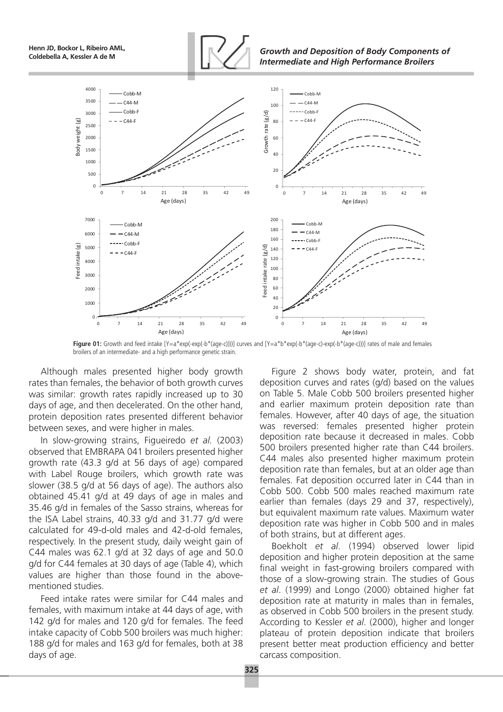**Henn JD, Bockor L, Ribeiro AML,**



**Coldebella A, Kessler A de M** *Growth and Deposition of Body Components of Intermediate and High Performance Broilers*



**Figure 01:** Growth and feed intake [Y=a\*exp(-exp(-b\*(age-c))))] curves and [Y=a\*b\*exp(-b\*(age-c)-exp(-b\*(age-c)))] rates of male and females broilers of an intermediate- and a high performance genetic strain.

Although males presented higher body growth rates than females, the behavior of both growth curves was similar: growth rates rapidly increased up to 30 days of age, and then decelerated. On the other hand, protein deposition rates presented different behavior between sexes, and were higher in males.

In slow-growing strains, Figueiredo *et al.* (2003) observed that EMBRAPA 041 broilers presented higher growth rate (43.3 g/d at 56 days of age) compared with Label Rouge broilers, which growth rate was slower (38.5 g/d at 56 days of age). The authors also obtained 45.41 g/d at 49 days of age in males and 35.46 g/d in females of the Sasso strains, whereas for the ISA Label strains, 40.33 g/d and 31.77 g/d were calculated for 49-d-old males and 42-d-old females, respectively. In the present study, daily weight gain of C44 males was 62.1 g/d at 32 days of age and 50.0 g/d for C44 females at 30 days of age (Table 4), which values are higher than those found in the abovementioned studies.

Feed intake rates were similar for C44 males and females, with maximum intake at 44 days of age, with 142 g/d for males and 120 g/d for females. The feed intake capacity of Cobb 500 broilers was much higher: 188 g/d for males and 163 g/d for females, both at 38 days of age.

Figure 2 shows body water, protein, and fat deposition curves and rates (g/d) based on the values on Table 5. Male Cobb 500 broilers presented higher and earlier maximum protein deposition rate than females. However, after 40 days of age, the situation was reversed: females presented higher protein deposition rate because it decreased in males. Cobb 500 broilers presented higher rate than C44 broilers. C44 males also presented higher maximum protein deposition rate than females, but at an older age than females. Fat deposition occurred later in C44 than in Cobb 500. Cobb 500 males reached maximum rate earlier than females (days 29 and 37, respectively), but equivalent maximum rate values. Maximum water deposition rate was higher in Cobb 500 and in males of both strains, but at different ages.

Boekholt *et al*. (1994) observed lower lipid deposition and higher protein deposition at the same final weight in fast-growing broilers compared with those of a slow-growing strain. The studies of Gous *et al*. (1999) and Longo (2000) obtained higher fat deposition rate at maturity in males than in females, as observed in Cobb 500 broilers in the present study. According to Kessler *et al*. (2000), higher and longer plateau of protein deposition indicate that broilers present better meat production efficiency and better carcass composition.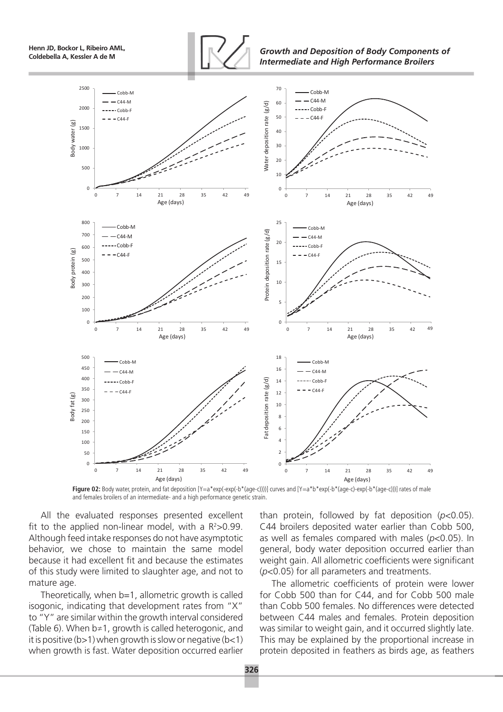**Henn JD, Bockor L, Ribeiro AML,**



**Coldebella A, Kessler A de M** *Growth and Deposition of Body Components of Intermediate and High Performance Broilers*



Figure 02: Body water, protein, and fat deposition [Y=a\*exp(-exp(-b\*(age-c)))]] curves and [Y=a\*b\*exp(-b\*(age-c)-exp(-b\*(age-c))]] rates of male and females broilers of an intermediate- and a high performance genetic strain.

All the evaluated responses presented excellent fit to the applied non-linear model, with a  $R^2 > 0.99$ . Although feed intake responses do not have asymptotic behavior, we chose to maintain the same model because it had excellent fit and because the estimates of this study were limited to slaughter age, and not to mature age.

Theoretically, when b=1, allometric growth is called isogonic, indicating that development rates from "X" to "Y" are similar within the growth interval considered (Table 6). When b≠1, growth is called heterogonic, and it is positive ( $b>1$ ) when growth is slow or negative ( $b<1$ ) when growth is fast. Water deposition occurred earlier than protein, followed by fat deposition (*p*<0.05). C44 broilers deposited water earlier than Cobb 500, as well as females compared with males (*p*<0.05). In general, body water deposition occurred earlier than weight gain. All allometric coefficients were significant (*p*<0.05) for all parameters and treatments.

The allometric coefficients of protein were lower for Cobb 500 than for C44, and for Cobb 500 male than Cobb 500 females. No differences were detected between C44 males and females. Protein deposition was similar to weight gain, and it occurred slightly late. This may be explained by the proportional increase in protein deposited in feathers as birds age, as feathers